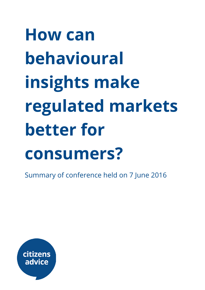# How can behavioural insights make regulated markets better for consumers?

Summary of conference held on 7 June 2016

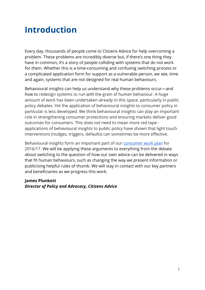# Introduction

Every day, thousands of people come to Citizens Advice for help overcoming a problem. These problems are incredibly diverse but, if there's one thing they have in common, it's a story of people colliding with systems that do not work for them. Whether this is a time-consuming and confusing switching process or a complicated application form for support as a vulnerable person, we see, time and again, systems that are not designed for real human behaviours.

Behavioural insights can help us understand why these problems occur—and how to redesign systems to run *with* the grain of human behaviour. A huge amount of work has been undertaken already in this space, particularly in public policy debates. Yet the application of behavioural insights to consumer policy in particular is less developed. We think behavioural insights can play an important role in strengthening consumer protections and ensuring markets deliver good outcomes for consumers. This does *not* need to mean more red tape applications of behavioural insights to public policy have shown that light touch interventions (nudges, triggers, defaults) can sometimes be more effective.

Behavioural insights form an important part of our [consumer](https://www.citizensadvice.org.uk/Global/CitizensAdvice/Consumer%20publications/CitizensAdviceConsumerchampion-Finalworkplanfor201617%20(3).pdf) work plan for 2016/17. We will be applying these arguments to everything from the debate about switching to the question of how our own advice can be delivered in ways that fit human behaviours, such as changing the way we present information or publicising helpful rules of thumb. We will stay in contact with our key partners and beneficiaries as we progress this work.

#### James Plunkett *Director of Policy and Advocacy, Citizens Advice*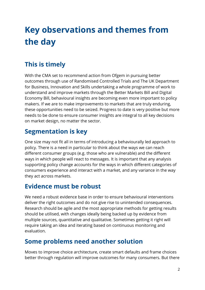# Key observations and themes from the day

# This is timely

With the CMA set to recommend action from Ofgem in pursuing better outcomes through use of Randomised Controlled Trials and The UK Department for Business, Innovation and Skills undertaking a whole programme of work to understand and improve markets through the Better Markets Bill and Digital Economy Bill, behavioural insights are becoming even more important to policy makers. If we are to make improvements to markets that are truly enduring, these opportunities need to be seized. Progress to date is very positive but more needs to be done to ensure consumer insights are integral to all key decisions on market design, no matter the sector.

## Segmentation is key

One size may not fit all in terms of introducing a behaviourally led approach to policy. There is a need in particular to think about the ways we can reach different consumer groups (e.g. those who are vulnerable) and the different ways in which people will react to messages. It is important that any analysis supporting policy change accounts for the ways in which different categories of consumers experience and interact with a market, and any variance in the way they act across markets.

### Evidence must be robust

We need a robust evidence base in order to ensure behavioural interventions deliver the right outcomes and do not give rise to unintended consequences. Research should be agile and the most appropriate methods for getting results should be utilised, with changes ideally being backed up by evidence from multiple sources, quantitative and qualitative. Sometimes getting it right will require taking an idea and iterating based on continuous monitoring and evaluation.

### Some problems need another solution

Moves to improve choice architecture, create smart defaults and frame choices better through regulation will improve outcomes for many consumers. But there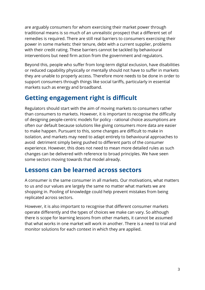are arguably consumers for whom exercising their market power through traditional means is so much of an unrealistic prospect that a different set of remedies is required. There are still real barriers to consumers exercising their power in some markets: their tenure, debt with a current supplier, problems with their credit rating. These barriers cannot be tackled by behavioural interventions but need firm action from the government and regulators.

Beyond this, people who suffer from long-term digital exclusion, have disabilities or reduced capability physically or mentally should not have to suffer in markets they are unable to properly access. Therefore more needs to be done in order to support consumers through things like social tariffs, particularly in essential markets such as energy and broadband.

## Getting engagement right is difficult

Regulators should start with the aim of moving markets to consumers rather than consumers to markets. However, it is important to recognise the difficulty of designing people-centric models for policy - rational choice assumptions are often our default because solutions like giving consumers more data are easier to make happen. Pursuant to this, some changes are difficult to make in isolation, and markets may need to adapt entirely to behavioural approaches to avoid detriment simply being pushed to different parts of the consumer experience. However, this does not need to mean more detailed rules as such changes can be delivered with reference to broad principles. We have seen some sectors moving towards that model already.

### Lessons can be learned across sectors

A consumer is the same consumer in all markets. Our motivations, what matters to us and our values are largely the same no matter what markets we are shopping in. Pooling of knowledge could help prevent mistakes from being replicated across sectors.

However, it is also important to recognise that different consumer markets operate differently and the types of choices we make can vary. So although there is scope for learning lessons from other markets, it cannot be assumed that what works in one market will work in another. There is a need to trial and monitor solutions for each context in which they are applied.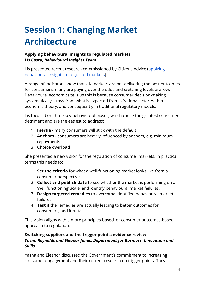# Session 1: Changing Market Architecture

### Applying behavioural insights to regulated markets *Lis Costa, Behavioural Insights Team*

Lis presented recent research commissioned by Citizens Advice ([applying](https://www.citizensadvice.org.uk/about-us/policy/policy-research-topics/consumer-policy-research/consumer-policy-research/applying-behavioural-insights-to-regulated-markets/) [behavioural](https://www.citizensadvice.org.uk/about-us/policy/policy-research-topics/consumer-policy-research/consumer-policy-research/applying-behavioural-insights-to-regulated-markets/) insights to regulated markets).

A range of indicators show that UK markets are not delivering the best outcomes for consumers: many are paying over the odds and switching levels are low. Behavioural economics tells us this is because consumer decision-making systematically strays from what is expected from a 'rational actor' within economic theory, and consequently in traditional regulatory models.

Lis focused on three key behavioural biases, which cause the greatest consumer detriment and are the easiest to address:

- 1. **Inertia** many consumers will stick with the default
- 2. **Anchors** consumers are heavily influenced by anchors, e.g. minimum repayments
- 3. Choice overload

She presented a new vision for the regulation of consumer markets. In practical terms this needs to:

- 1. Set the criteria for what a well-functioning market looks like from a consumer perspective.
- 2. **Collect and publish data** to see whether the market is performing on a 'well functioning' scale, and identify behavioural market failures.
- 3. Design targeted remedies to overcome identified behavioural market failures.
- 4. Test if the remedies are actually leading to better outcomes for consumers, and iterate.

This vision aligns with a more principles-based, or consumer outcomes-based, approach to regulation.

#### Switching suppliers and the trigger points: evidence review *Yasna Reynolds and Eleanor Jones, Department for Business, Innovation and Skills*

Yasna and Eleanor discussed the Government's commitment to increasing consumer engagement and their current research on trigger points. They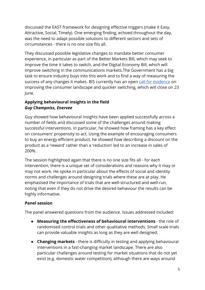discussed the EAST framework for designing effective triggers (make it Easy, Attractive, Social, Timely). One emerging finding, echoed throughout the day, was the need to adapt possible solutions to different sectors and sets of circumstances - there is no one size fits all.

They discussed possible legislative changes to mandate better consumer experience, in particular as part of the Better Markets Bill, which may seek to improve the time it takes to switch, and the Digital Economy Bill, which will improve switching in the communications markets.The Government has a big task to ensure industry buys into this work and to find a way of measuring the success of any changes it makes. BIS currently has an open call for [evidence](https://www.gov.uk/government/consultations/improving-the-consumer-landscape-and-quicker-switching-call-for-evidence) on improving the consumer landscape and quicker switching, which will close on 23 June.

### Applying behavioural insights in the field *Guy Champniss, Enervee*

Guy showed how behavioural insights have been applied successfully across a number of fields and discussed some of the challenges around making successful interventions. In particular, he showed how framing has a key effect on consumers' propensity to act. Using the example of encouraging consumers to buy an energy efficient product, he showed how describing a discount on the product as a 'reward' rather than a 'reduction' led to an increase in sales of 200%.

The session highlighted again that there is no one size fits all - for each intervention, there is a unique set of considerations and reasons why it may or may not work. He spoke in particular about the effects of social and identity norms and challenges around designing trials where these are at play. He emphasised the importance of trials that are well-structured and well-run, noting that even if they do not drive the desired behaviour the results can be highly informative.

### Panel session

The panel answered questions from the audience. Issues addressed included:

- Measuring the effectiveness of behavioural interventions the role of randomised control trials and other qualitative methods. Small scale trials can provide valuable insights as long as they are well designed.
- Changing markets there is difficulty in testing and applying behavioural interventions in a fast-changing market landscape. There are also particular challenges around testing for market situations that do not yet exist (e.g. domestic water competition), although there are ways around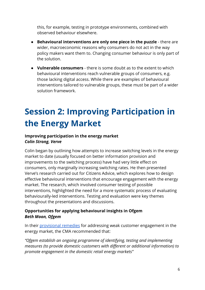this, for example, testing in prototype environments, combined with observed behaviour elsewhere.

- Behavioural interventions are only one piece in the puzzle there are wider, macroeconomic reasons why consumers do not act in the way policy makers want them to. Changing consumer behaviour is only part of the solution.
- Vulnerable consumers there is some doubt as to the extent to which behavioural interventions reach vulnerable groups of consumers, e.g. those lacking digital access. While there are examples of behavioural interventions tailored to vulnerable groups, these must be part of a wider solution framework.

# Session 2: Improving Participation in the Energy Market

#### Improving participation in the energy market *Colin Strong, Verve*

Colin began by outlining how attempts to increase switching levels in the energy market to date (usually focused on better information provision and improvements to the switching process) have had very little effect on consumers, only marginally increasing switching rates. He then presented Verve's research carried out for Citizens Advice, which explores how to design effective behavioural interventions that encourage engagement with the energy market. The research, which involved consumer testing of possible interventions, highlighted the need for a more systematic process of evaluating behaviourally-led interventions. Testing and evaluation were key themes throughout the presentations and discussions.

### Opportunities for applying behavioural insights in Ofgem *Beth Moon, Ofgem*

In their [provisional](https://assets.publishing.service.gov.uk/media/5706757340f0b6038800003b/Provisional-decision-on-remedies-EMI.pdf) remedies for addressing weak customer engagement in the energy market, the CMA recommended that:

*"Ofgem establish an ongoing programme of identifying, testing and implementing measures (to provide domestic customers with di耀erent or additional information) to promote engagement in the domestic retail energy markets"*